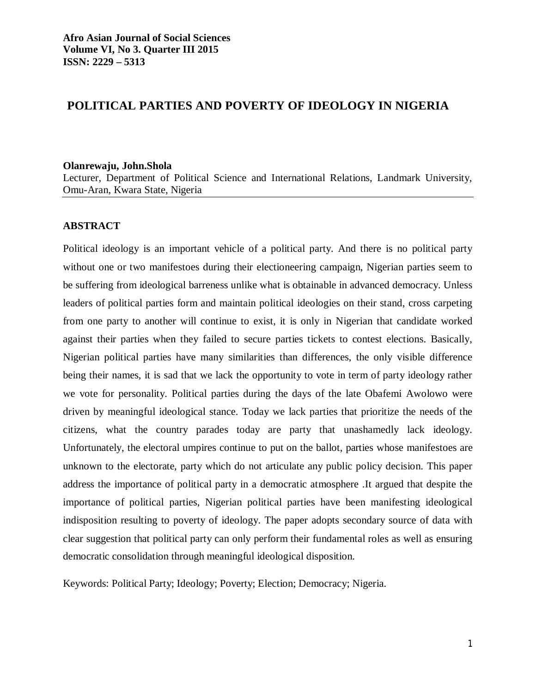# **POLITICAL PARTIES AND POVERTY OF IDEOLOGY IN NIGERIA**

#### **Olanrewaju, John.Shola**

Lecturer, Department of Political Science and International Relations, Landmark University, Omu-Aran, Kwara State, Nigeria

#### **ABSTRACT**

Political ideology is an important vehicle of a political party. And there is no political party without one or two manifestoes during their electioneering campaign, Nigerian parties seem to be suffering from ideological barreness unlike what is obtainable in advanced democracy. Unless leaders of political parties form and maintain political ideologies on their stand, cross carpeting from one party to another will continue to exist, it is only in Nigerian that candidate worked against their parties when they failed to secure parties tickets to contest elections. Basically, Nigerian political parties have many similarities than differences, the only visible difference being their names, it is sad that we lack the opportunity to vote in term of party ideology rather we vote for personality. Political parties during the days of the late Obafemi Awolowo were driven by meaningful ideological stance. Today we lack parties that prioritize the needs of the citizens, what the country parades today are party that unashamedly lack ideology. Unfortunately, the electoral umpires continue to put on the ballot, parties whose manifestoes are unknown to the electorate, party which do not articulate any public policy decision. This paper address the importance of political party in a democratic atmosphere .It argued that despite the importance of political parties, Nigerian political parties have been manifesting ideological indisposition resulting to poverty of ideology. The paper adopts secondary source of data with clear suggestion that political party can only perform their fundamental roles as well as ensuring democratic consolidation through meaningful ideological disposition.

Keywords: Political Party; Ideology; Poverty; Election; Democracy; Nigeria.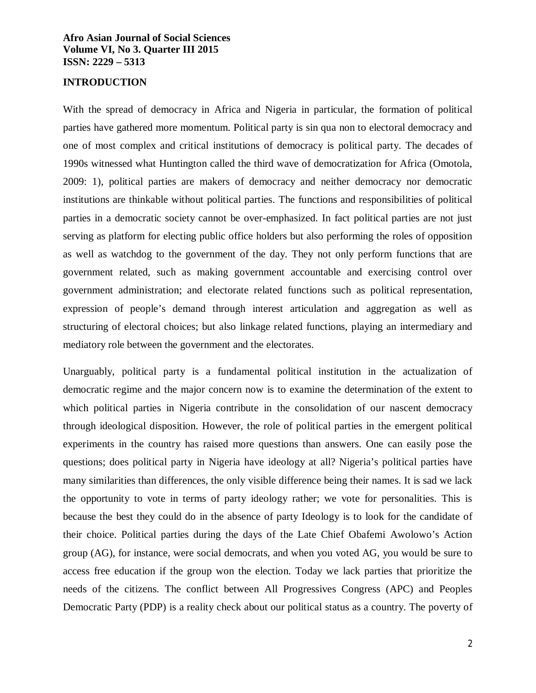#### **INTRODUCTION**

With the spread of democracy in Africa and Nigeria in particular, the formation of political parties have gathered more momentum. Political party is sin qua non to electoral democracy and one of most complex and critical institutions of democracy is political party. The decades of 1990s witnessed what Huntington called the third wave of democratization for Africa (Omotola, 2009: 1), political parties are makers of democracy and neither democracy nor democratic institutions are thinkable without political parties. The functions and responsibilities of political parties in a democratic society cannot be over-emphasized. In fact political parties are not just serving as platform for electing public office holders but also performing the roles of opposition as well as watchdog to the government of the day. They not only perform functions that are government related, such as making government accountable and exercising control over government administration; and electorate related functions such as political representation, expression of people's demand through interest articulation and aggregation as well as structuring of electoral choices; but also linkage related functions, playing an intermediary and mediatory role between the government and the electorates.

Unarguably, political party is a fundamental political institution in the actualization of democratic regime and the major concern now is to examine the determination of the extent to which political parties in Nigeria contribute in the consolidation of our nascent democracy through ideological disposition. However, the role of political parties in the emergent political experiments in the country has raised more questions than answers. One can easily pose the questions; does political party in Nigeria have ideology at all? Nigeria's political parties have many similarities than differences, the only visible difference being their names. It is sad we lack the opportunity to vote in terms of party ideology rather; we vote for personalities. This is because the best they could do in the absence of party Ideology is to look for the candidate of their choice. Political parties during the days of the Late Chief Obafemi Awolowo's Action group (AG), for instance, were social democrats, and when you voted AG, you would be sure to access free education if the group won the election. Today we lack parties that prioritize the needs of the citizens. The conflict between All Progressives Congress (APC) and Peoples Democratic Party (PDP) is a reality check about our political status as a country. The poverty of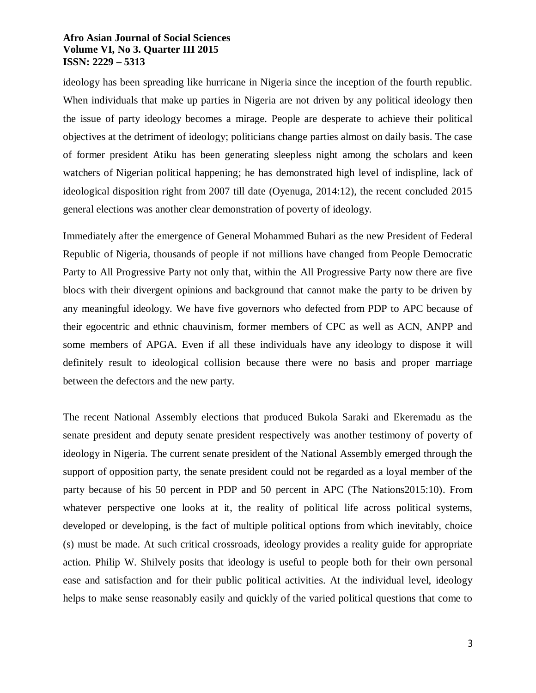ideology has been spreading like hurricane in Nigeria since the inception of the fourth republic. When individuals that make up parties in Nigeria are not driven by any political ideology then the issue of party ideology becomes a mirage. People are desperate to achieve their political objectives at the detriment of ideology; politicians change parties almost on daily basis. The case of former president Atiku has been generating sleepless night among the scholars and keen watchers of Nigerian political happening; he has demonstrated high level of indispline, lack of ideological disposition right from 2007 till date (Oyenuga, 2014:12), the recent concluded 2015 general elections was another clear demonstration of poverty of ideology.

Immediately after the emergence of General Mohammed Buhari as the new President of Federal Republic of Nigeria, thousands of people if not millions have changed from People Democratic Party to All Progressive Party not only that, within the All Progressive Party now there are five blocs with their divergent opinions and background that cannot make the party to be driven by any meaningful ideology. We have five governors who defected from PDP to APC because of their egocentric and ethnic chauvinism, former members of CPC as well as ACN, ANPP and some members of APGA. Even if all these individuals have any ideology to dispose it will definitely result to ideological collision because there were no basis and proper marriage between the defectors and the new party.

The recent National Assembly elections that produced Bukola Saraki and Ekeremadu as the senate president and deputy senate president respectively was another testimony of poverty of ideology in Nigeria. The current senate president of the National Assembly emerged through the support of opposition party, the senate president could not be regarded as a loyal member of the party because of his 50 percent in PDP and 50 percent in APC (The Nations2015:10). From whatever perspective one looks at it, the reality of political life across political systems, developed or developing, is the fact of multiple political options from which inevitably, choice (s) must be made. At such critical crossroads, ideology provides a reality guide for appropriate action. Philip W. Shilvely posits that ideology is useful to people both for their own personal ease and satisfaction and for their public political activities. At the individual level, ideology helps to make sense reasonably easily and quickly of the varied political questions that come to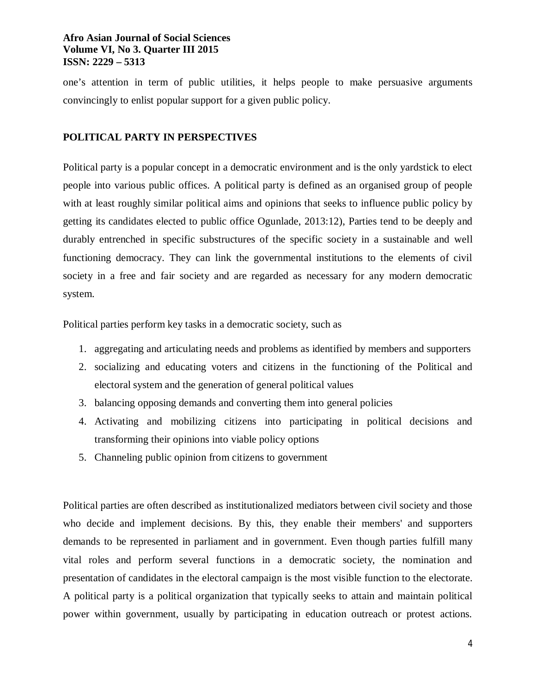one's attention in term of public utilities, it helps people to make persuasive arguments convincingly to enlist popular support for a given public policy.

## **POLITICAL PARTY IN PERSPECTIVES**

Political party is a popular concept in a democratic environment and is the only yardstick to elect people into various public offices. A political party is defined as an organised group of people with at least roughly similar political aims and opinions that seeks to influence public policy by getting its candidates elected to public office Ogunlade, 2013:12), Parties tend to be deeply and durably entrenched in specific substructures of the specific society in a sustainable and well functioning democracy. They can link the governmental institutions to the elements of civil society in a free and fair society and are regarded as necessary for any modern democratic system.

Political parties perform key tasks in a democratic society, such as

- 1. aggregating and articulating needs and problems as identified by members and supporters
- 2. socializing and educating voters and citizens in the functioning of the Political and electoral system and the generation of general political values
- 3. balancing opposing demands and converting them into general policies
- 4. Activating and mobilizing citizens into participating in political decisions and transforming their opinions into viable policy options
- 5. Channeling public opinion from citizens to government

Political parties are often described as institutionalized mediators between civil society and those who decide and implement decisions. By this, they enable their members' and supporters demands to be represented in parliament and in government. Even though parties fulfill many vital roles and perform several functions in a democratic society, the nomination and presentation of candidates in the electoral campaign is the most visible function to the electorate. A political party is a political organization that typically seeks to attain and maintain political power within government, usually by participating in education outreach or protest actions.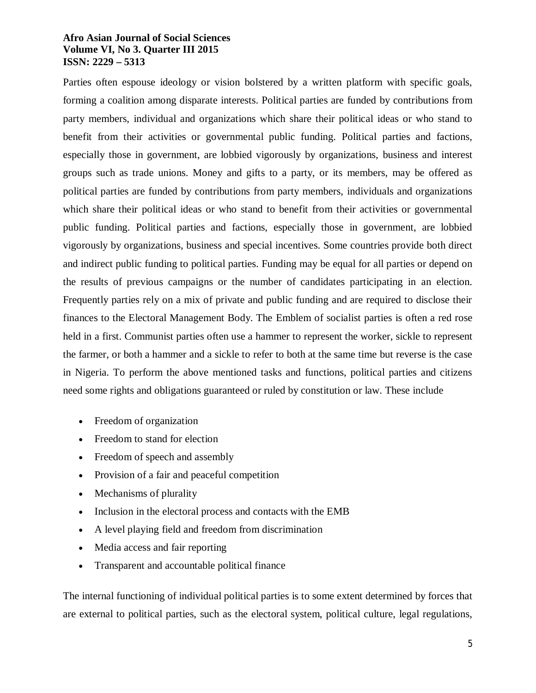Parties often espouse ideology or vision bolstered by a written platform with specific goals, forming a coalition among disparate interests. Political parties are funded by contributions from party members, individual and organizations which share their political ideas or who stand to benefit from their activities or governmental public funding. Political parties and factions, especially those in government, are lobbied vigorously by organizations, business and interest groups such as trade unions. Money and gifts to a party, or its members, may be offered as political parties are funded by contributions from party members, individuals and organizations which share their political ideas or who stand to benefit from their activities or governmental public funding. Political parties and factions, especially those in government, are lobbied vigorously by organizations, business and special incentives. Some countries provide both direct and indirect public funding to political parties. Funding may be equal for all parties or depend on the results of previous campaigns or the number of candidates participating in an election. Frequently parties rely on a mix of private and public funding and are required to disclose their finances to the Electoral Management Body. The Emblem of socialist parties is often a red rose held in a first. Communist parties often use a hammer to represent the worker, sickle to represent the farmer, or both a hammer and a sickle to refer to both at the same time but reverse is the case in Nigeria. To perform the above mentioned tasks and functions, political parties and citizens need some rights and obligations guaranteed or ruled by constitution or law. These include

- Freedom of organization
- Freedom to stand for election
- Freedom of speech and assembly
- Provision of a fair and peaceful competition
- Mechanisms of plurality
- Inclusion in the electoral process and contacts with the EMB
- A level playing field and freedom from discrimination
- Media access and fair reporting
- Transparent and accountable political finance

The internal functioning of individual political parties is to some extent determined by forces that are external to political parties, such as the electoral system, political culture, legal regulations,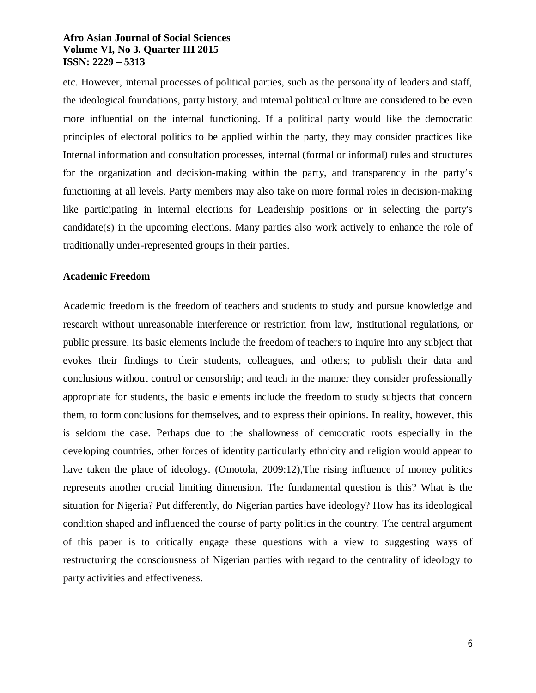etc. However, internal processes of political parties, such as the personality of leaders and staff, the ideological foundations, party history, and internal political culture are considered to be even more influential on the internal functioning. If a political party would like the democratic principles of electoral politics to be applied within the party, they may consider practices like Internal information and consultation processes, internal (formal or informal) rules and structures for the organization and decision-making within the party, and transparency in the party's functioning at all levels. Party members may also take on more formal roles in decision-making like participating in internal elections for Leadership positions or in selecting the party's candidate(s) in the upcoming elections. Many parties also work actively to enhance the role of traditionally under-represented groups in their parties.

#### **Academic Freedom**

Academic freedom is the freedom of teachers and students to study and pursue knowledge and research without unreasonable interference or restriction from law, institutional regulations, or public pressure. Its basic elements include the freedom of teachers to inquire into any subject that evokes their findings to their students, colleagues, and others; to publish their data and conclusions without control or censorship; and teach in the manner they consider professionally appropriate for students, the basic elements include the freedom to study subjects that concern them, to form conclusions for themselves, and to express their opinions. In reality, however, this is seldom the case. Perhaps due to the shallowness of democratic roots especially in the developing countries, other forces of identity particularly ethnicity and religion would appear to have taken the place of ideology. (Omotola, 2009:12),The rising influence of money politics represents another crucial limiting dimension. The fundamental question is this? What is the situation for Nigeria? Put differently, do Nigerian parties have ideology? How has its ideological condition shaped and influenced the course of party politics in the country. The central argument of this paper is to critically engage these questions with a view to suggesting ways of restructuring the consciousness of Nigerian parties with regard to the centrality of ideology to party activities and effectiveness.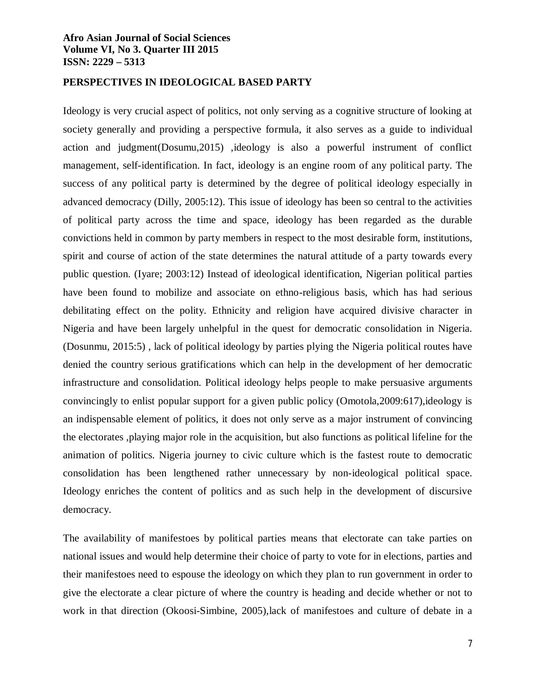#### **PERSPECTIVES IN IDEOLOGICAL BASED PARTY**

Ideology is very crucial aspect of politics, not only serving as a cognitive structure of looking at society generally and providing a perspective formula, it also serves as a guide to individual action and judgment(Dosumu,2015) ,ideology is also a powerful instrument of conflict management, self-identification. In fact, ideology is an engine room of any political party. The success of any political party is determined by the degree of political ideology especially in advanced democracy (Dilly, 2005:12). This issue of ideology has been so central to the activities of political party across the time and space, ideology has been regarded as the durable convictions held in common by party members in respect to the most desirable form, institutions, spirit and course of action of the state determines the natural attitude of a party towards every public question. (Iyare; 2003:12) Instead of ideological identification, Nigerian political parties have been found to mobilize and associate on ethno-religious basis, which has had serious debilitating effect on the polity. Ethnicity and religion have acquired divisive character in Nigeria and have been largely unhelpful in the quest for democratic consolidation in Nigeria. (Dosunmu, 2015:5) , lack of political ideology by parties plying the Nigeria political routes have denied the country serious gratifications which can help in the development of her democratic infrastructure and consolidation. Political ideology helps people to make persuasive arguments convincingly to enlist popular support for a given public policy (Omotola,2009:617),ideology is an indispensable element of politics, it does not only serve as a major instrument of convincing the electorates ,playing major role in the acquisition, but also functions as political lifeline for the animation of politics. Nigeria journey to civic culture which is the fastest route to democratic consolidation has been lengthened rather unnecessary by non-ideological political space. Ideology enriches the content of politics and as such help in the development of discursive democracy.

The availability of manifestoes by political parties means that electorate can take parties on national issues and would help determine their choice of party to vote for in elections, parties and their manifestoes need to espouse the ideology on which they plan to run government in order to give the electorate a clear picture of where the country is heading and decide whether or not to work in that direction (Okoosi-Simbine, 2005),lack of manifestoes and culture of debate in a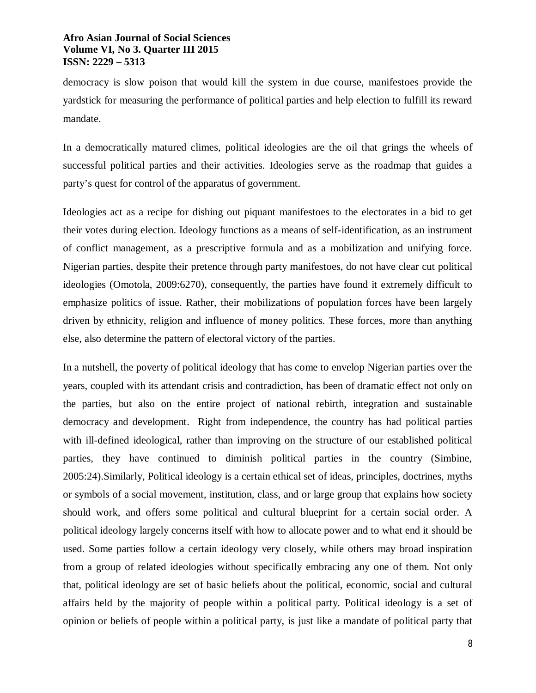democracy is slow poison that would kill the system in due course, manifestoes provide the yardstick for measuring the performance of political parties and help election to fulfill its reward mandate.

In a democratically matured climes, political ideologies are the oil that grings the wheels of successful political parties and their activities. Ideologies serve as the roadmap that guides a party's quest for control of the apparatus of government.

Ideologies act as a recipe for dishing out piquant manifestoes to the electorates in a bid to get their votes during election. Ideology functions as a means of self-identification, as an instrument of conflict management, as a prescriptive formula and as a mobilization and unifying force. Nigerian parties, despite their pretence through party manifestoes, do not have clear cut political ideologies (Omotola, 2009:6270), consequently, the parties have found it extremely difficult to emphasize politics of issue. Rather, their mobilizations of population forces have been largely driven by ethnicity, religion and influence of money politics. These forces, more than anything else, also determine the pattern of electoral victory of the parties.

In a nutshell, the poverty of political ideology that has come to envelop Nigerian parties over the years, coupled with its attendant crisis and contradiction, has been of dramatic effect not only on the parties, but also on the entire project of national rebirth, integration and sustainable democracy and development. Right from independence, the country has had political parties with ill-defined ideological, rather than improving on the structure of our established political parties, they have continued to diminish political parties in the country (Simbine, 2005:24).Similarly, Political ideology is a certain ethical set of ideas, principles, doctrines, myths or symbols of a social movement, institution, class, and or large group that explains how society should work, and offers some political and cultural blueprint for a certain social order. A political ideology largely concerns itself with how to allocate power and to what end it should be used. Some parties follow a certain ideology very closely, while others may broad inspiration from a group of related ideologies without specifically embracing any one of them. Not only that, political ideology are set of basic beliefs about the political, economic, social and cultural affairs held by the majority of people within a political party. Political ideology is a set of opinion or beliefs of people within a political party, is just like a mandate of political party that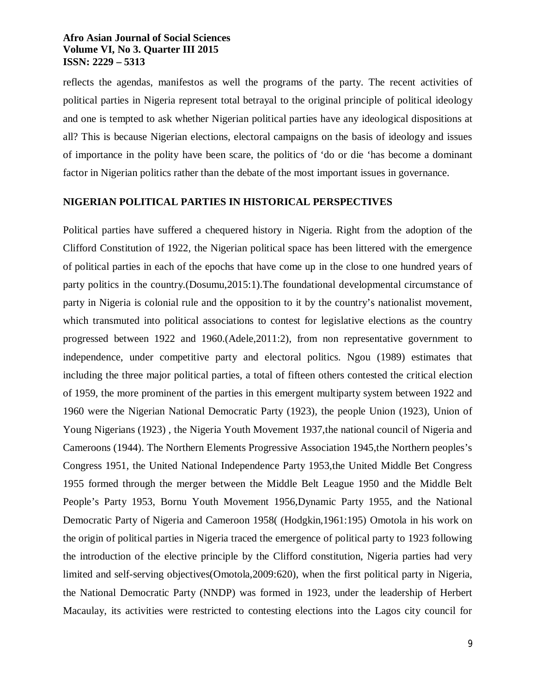reflects the agendas, manifestos as well the programs of the party. The recent activities of political parties in Nigeria represent total betrayal to the original principle of political ideology and one is tempted to ask whether Nigerian political parties have any ideological dispositions at all? This is because Nigerian elections, electoral campaigns on the basis of ideology and issues of importance in the polity have been scare, the politics of 'do or die 'has become a dominant factor in Nigerian politics rather than the debate of the most important issues in governance.

#### **NIGERIAN POLITICAL PARTIES IN HISTORICAL PERSPECTIVES**

Political parties have suffered a chequered history in Nigeria. Right from the adoption of the Clifford Constitution of 1922, the Nigerian political space has been littered with the emergence of political parties in each of the epochs that have come up in the close to one hundred years of party politics in the country.(Dosumu,2015:1).The foundational developmental circumstance of party in Nigeria is colonial rule and the opposition to it by the country's nationalist movement, which transmuted into political associations to contest for legislative elections as the country progressed between 1922 and 1960.(Adele,2011:2), from non representative government to independence, under competitive party and electoral politics. Ngou (1989) estimates that including the three major political parties, a total of fifteen others contested the critical election of 1959, the more prominent of the parties in this emergent multiparty system between 1922 and 1960 were the Nigerian National Democratic Party (1923), the people Union (1923), Union of Young Nigerians (1923) , the Nigeria Youth Movement 1937,the national council of Nigeria and Cameroons (1944). The Northern Elements Progressive Association 1945,the Northern peoples's Congress 1951, the United National Independence Party 1953,the United Middle Bet Congress 1955 formed through the merger between the Middle Belt League 1950 and the Middle Belt People's Party 1953, Bornu Youth Movement 1956,Dynamic Party 1955, and the National Democratic Party of Nigeria and Cameroon 1958( (Hodgkin,1961:195) Omotola in his work on the origin of political parties in Nigeria traced the emergence of political party to 1923 following the introduction of the elective principle by the Clifford constitution, Nigeria parties had very limited and self-serving objectives(Omotola,2009:620), when the first political party in Nigeria, the National Democratic Party (NNDP) was formed in 1923, under the leadership of Herbert Macaulay, its activities were restricted to contesting elections into the Lagos city council for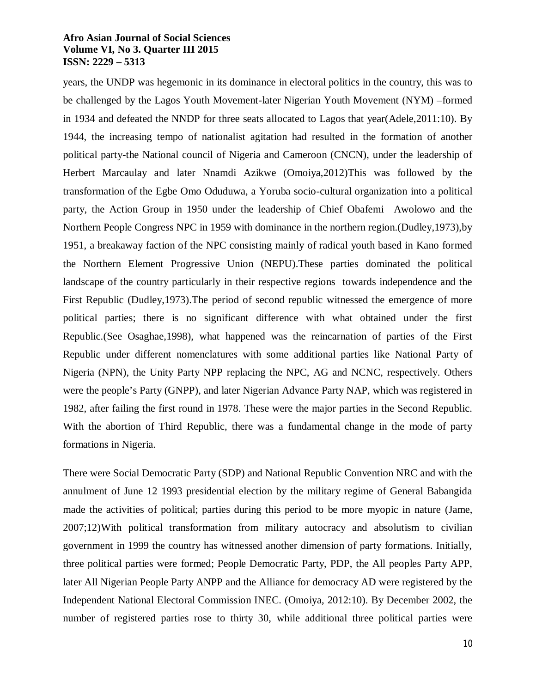years, the UNDP was hegemonic in its dominance in electoral politics in the country, this was to be challenged by the Lagos Youth Movement-later Nigerian Youth Movement (NYM) –formed in 1934 and defeated the NNDP for three seats allocated to Lagos that year(Adele,2011:10). By 1944, the increasing tempo of nationalist agitation had resulted in the formation of another political party-the National council of Nigeria and Cameroon (CNCN), under the leadership of Herbert Marcaulay and later Nnamdi Azikwe (Omoiya,2012)This was followed by the transformation of the Egbe Omo Oduduwa, a Yoruba socio-cultural organization into a political party, the Action Group in 1950 under the leadership of Chief Obafemi Awolowo and the Northern People Congress NPC in 1959 with dominance in the northern region.(Dudley,1973),by 1951, a breakaway faction of the NPC consisting mainly of radical youth based in Kano formed the Northern Element Progressive Union (NEPU).These parties dominated the political landscape of the country particularly in their respective regions towards independence and the First Republic (Dudley,1973).The period of second republic witnessed the emergence of more political parties; there is no significant difference with what obtained under the first Republic.(See Osaghae,1998), what happened was the reincarnation of parties of the First Republic under different nomenclatures with some additional parties like National Party of Nigeria (NPN), the Unity Party NPP replacing the NPC, AG and NCNC, respectively. Others were the people's Party (GNPP), and later Nigerian Advance Party NAP, which was registered in 1982, after failing the first round in 1978. These were the major parties in the Second Republic. With the abortion of Third Republic, there was a fundamental change in the mode of party formations in Nigeria.

There were Social Democratic Party (SDP) and National Republic Convention NRC and with the annulment of June 12 1993 presidential election by the military regime of General Babangida made the activities of political; parties during this period to be more myopic in nature (Jame, 2007;12)With political transformation from military autocracy and absolutism to civilian government in 1999 the country has witnessed another dimension of party formations. Initially, three political parties were formed; People Democratic Party, PDP, the All peoples Party APP, later All Nigerian People Party ANPP and the Alliance for democracy AD were registered by the Independent National Electoral Commission INEC. (Omoiya, 2012:10). By December 2002, the number of registered parties rose to thirty 30, while additional three political parties were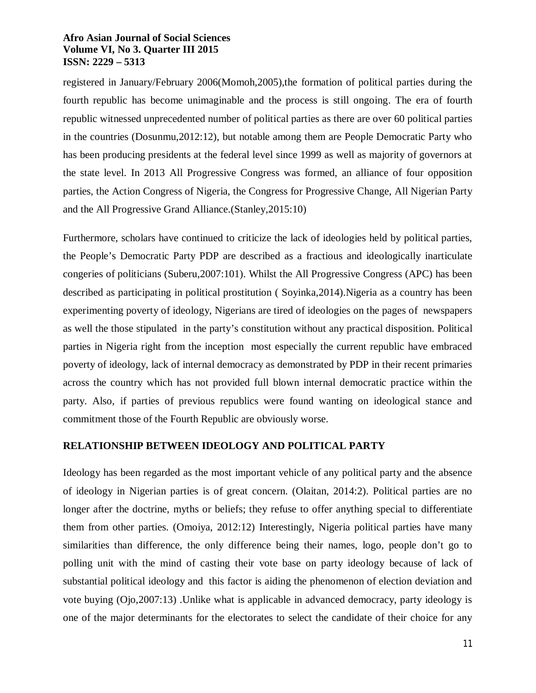registered in January/February 2006(Momoh,2005),the formation of political parties during the fourth republic has become unimaginable and the process is still ongoing. The era of fourth republic witnessed unprecedented number of political parties as there are over 60 political parties in the countries (Dosunmu,2012:12), but notable among them are People Democratic Party who has been producing presidents at the federal level since 1999 as well as majority of governors at the state level. In 2013 All Progressive Congress was formed, an alliance of four opposition parties, the Action Congress of Nigeria, the Congress for Progressive Change, All Nigerian Party and the All Progressive Grand Alliance.(Stanley,2015:10)

Furthermore, scholars have continued to criticize the lack of ideologies held by political parties, the People's Democratic Party PDP are described as a fractious and ideologically inarticulate congeries of politicians (Suberu,2007:101). Whilst the All Progressive Congress (APC) has been described as participating in political prostitution ( Soyinka,2014).Nigeria as a country has been experimenting poverty of ideology, Nigerians are tired of ideologies on the pages of newspapers as well the those stipulated in the party's constitution without any practical disposition. Political parties in Nigeria right from the inception most especially the current republic have embraced poverty of ideology, lack of internal democracy as demonstrated by PDP in their recent primaries across the country which has not provided full blown internal democratic practice within the party. Also, if parties of previous republics were found wanting on ideological stance and commitment those of the Fourth Republic are obviously worse.

## **RELATIONSHIP BETWEEN IDEOLOGY AND POLITICAL PARTY**

Ideology has been regarded as the most important vehicle of any political party and the absence of ideology in Nigerian parties is of great concern. (Olaitan, 2014:2). Political parties are no longer after the doctrine, myths or beliefs; they refuse to offer anything special to differentiate them from other parties. (Omoiya, 2012:12) Interestingly, Nigeria political parties have many similarities than difference, the only difference being their names, logo, people don't go to polling unit with the mind of casting their vote base on party ideology because of lack of substantial political ideology and this factor is aiding the phenomenon of election deviation and vote buying (Ojo,2007:13) .Unlike what is applicable in advanced democracy, party ideology is one of the major determinants for the electorates to select the candidate of their choice for any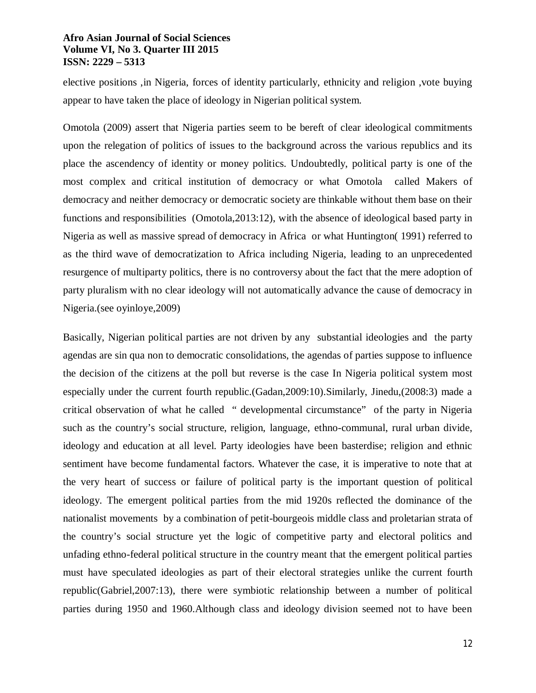elective positions ,in Nigeria, forces of identity particularly, ethnicity and religion ,vote buying appear to have taken the place of ideology in Nigerian political system.

Omotola (2009) assert that Nigeria parties seem to be bereft of clear ideological commitments upon the relegation of politics of issues to the background across the various republics and its place the ascendency of identity or money politics. Undoubtedly, political party is one of the most complex and critical institution of democracy or what Omotola called Makers of democracy and neither democracy or democratic society are thinkable without them base on their functions and responsibilities (Omotola,2013:12), with the absence of ideological based party in Nigeria as well as massive spread of democracy in Africa or what Huntington( 1991) referred to as the third wave of democratization to Africa including Nigeria, leading to an unprecedented resurgence of multiparty politics, there is no controversy about the fact that the mere adoption of party pluralism with no clear ideology will not automatically advance the cause of democracy in Nigeria.(see oyinloye,2009)

Basically, Nigerian political parties are not driven by any substantial ideologies and the party agendas are sin qua non to democratic consolidations, the agendas of parties suppose to influence the decision of the citizens at the poll but reverse is the case In Nigeria political system most especially under the current fourth republic.(Gadan,2009:10).Similarly, Jinedu,(2008:3) made a critical observation of what he called " developmental circumstance" of the party in Nigeria such as the country's social structure, religion, language, ethno-communal, rural urban divide, ideology and education at all level. Party ideologies have been basterdise; religion and ethnic sentiment have become fundamental factors. Whatever the case, it is imperative to note that at the very heart of success or failure of political party is the important question of political ideology. The emergent political parties from the mid 1920s reflected the dominance of the nationalist movements by a combination of petit-bourgeois middle class and proletarian strata of the country's social structure yet the logic of competitive party and electoral politics and unfading ethno-federal political structure in the country meant that the emergent political parties must have speculated ideologies as part of their electoral strategies unlike the current fourth republic(Gabriel,2007:13), there were symbiotic relationship between a number of political parties during 1950 and 1960.Although class and ideology division seemed not to have been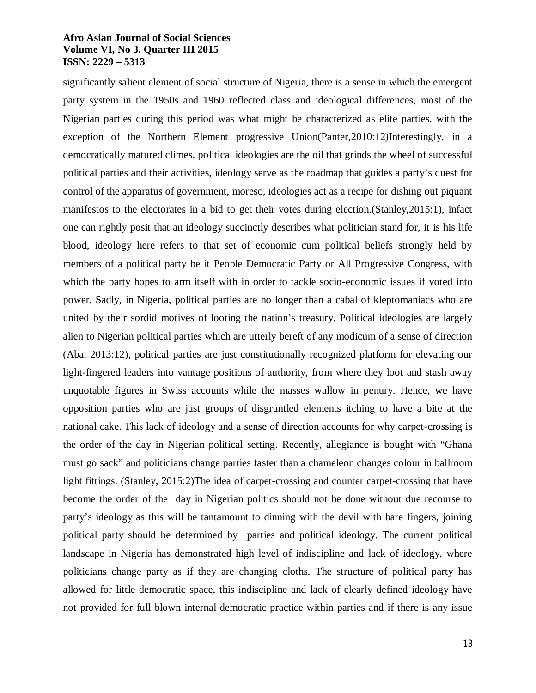significantly salient element of social structure of Nigeria, there is a sense in which the emergent party system in the 1950s and 1960 reflected class and ideological differences, most of the Nigerian parties during this period was what might be characterized as elite parties, with the exception of the Northern Element progressive Union(Panter,2010:12)Interestingly, in a democratically matured climes, political ideologies are the oil that grinds the wheel of successful political parties and their activities, ideology serve as the roadmap that guides a party's quest for control of the apparatus of government, moreso, ideologies act as a recipe for dishing out piquant manifestos to the electorates in a bid to get their votes during election.(Stanley,2015:1), infact one can rightly posit that an ideology succinctly describes what politician stand for, it is his life blood, ideology here refers to that set of economic cum political beliefs strongly held by members of a political party be it People Democratic Party or All Progressive Congress, with which the party hopes to arm itself with in order to tackle socio-economic issues if voted into power. Sadly, in Nigeria, political parties are no longer than a cabal of kleptomaniacs who are united by their sordid motives of looting the nation's treasury. Political ideologies are largely alien to Nigerian political parties which are utterly bereft of any modicum of a sense of direction (Aba, 2013:12), political parties are just constitutionally recognized platform for elevating our light-fingered leaders into vantage positions of authority, from where they loot and stash away unquotable figures in Swiss accounts while the masses wallow in penury. Hence, we have opposition parties who are just groups of disgruntled elements itching to have a bite at the national cake. This lack of ideology and a sense of direction accounts for why carpet-crossing is the order of the day in Nigerian political setting. Recently, allegiance is bought with "Ghana must go sack" and politicians change parties faster than a chameleon changes colour in ballroom light fittings. (Stanley, 2015:2)The idea of carpet-crossing and counter carpet-crossing that have become the order of the day in Nigerian politics should not be done without due recourse to party's ideology as this will be tantamount to dinning with the devil with bare fingers, joining political party should be determined by parties and political ideology. The current political landscape in Nigeria has demonstrated high level of indiscipline and lack of ideology, where politicians change party as if they are changing cloths. The structure of political party has allowed for little democratic space, this indiscipline and lack of clearly defined ideology have not provided for full blown internal democratic practice within parties and if there is any issue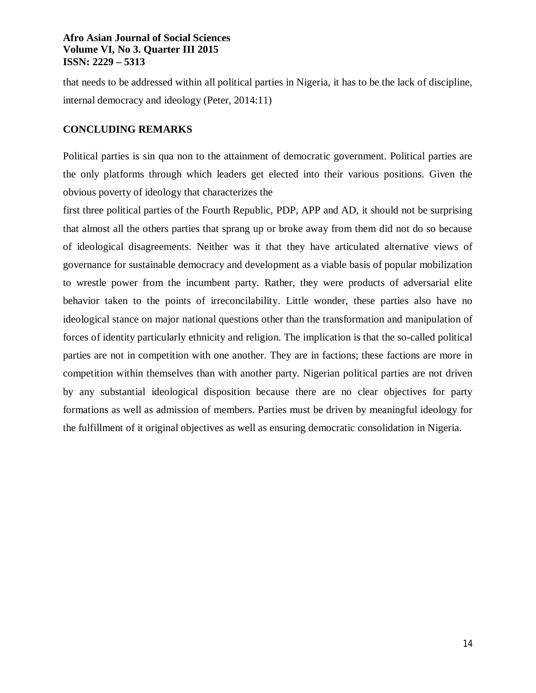that needs to be addressed within all political parties in Nigeria, it has to be the lack of discipline, internal democracy and ideology (Peter, 2014:11)

#### **CONCLUDING REMARKS**

Political parties is sin qua non to the attainment of democratic government. Political parties are the only platforms through which leaders get elected into their various positions. Given the obvious poverty of ideology that characterizes the

first three political parties of the Fourth Republic, PDP, APP and AD, it should not be surprising that almost all the others parties that sprang up or broke away from them did not do so because of ideological disagreements. Neither was it that they have articulated alternative views of governance for sustainable democracy and development as a viable basis of popular mobilization to wrestle power from the incumbent party. Rather, they were products of adversarial elite behavior taken to the points of irreconcilability. Little wonder, these parties also have no ideological stance on major national questions other than the transformation and manipulation of forces of identity particularly ethnicity and religion. The implication is that the so-called political parties are not in competition with one another. They are in factions; these factions are more in competition within themselves than with another party. Nigerian political parties are not driven by any substantial ideological disposition because there are no clear objectives for party formations as well as admission of members. Parties must be driven by meaningful ideology for the fulfillment of it original objectives as well as ensuring democratic consolidation in Nigeria.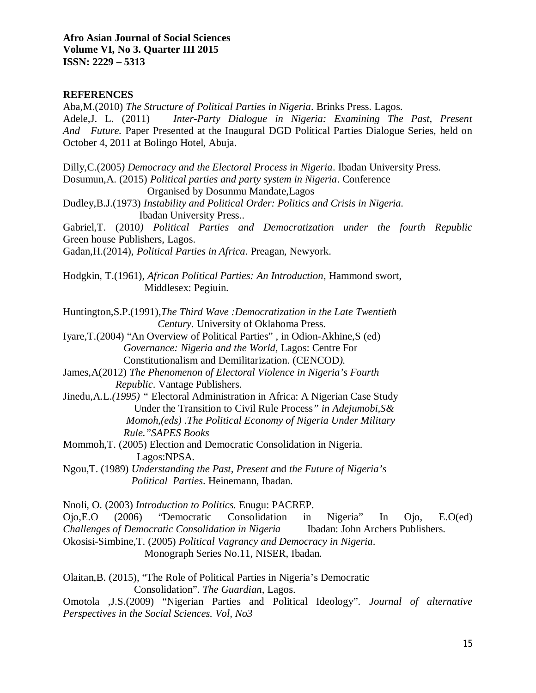#### **REFERENCES**

Aba,M.(2010) *The Structure of Political Parties in Nigeria*. Brinks Press. Lagos. Adele,J. L. (2011) *Inter-Party Dialogue in Nigeria: Examining The Past, Present And Future.* Paper Presented at the Inaugural DGD Political Parties Dialogue Series, held on October 4, 2011 at Bolingo Hotel, Abuja.

Dilly,C.(2005*) Democracy and the Electoral Process in Nigeria*. Ibadan University Press. Dosumun,A. (2015) *Political parties and party system in Nigeria*. Conference Organised by Dosunmu Mandate,Lagos Dudley,B.J.(1973) *Instability and Political Order: Politics and Crisis in Nigeria.* Ibadan University Press.. Gabriel,T. (2010*) Political Parties and Democratization under the fourth Republic* Green house Publishers, Lagos. Gadan,H.(2014), *Political Parties in Africa*. Preagan, Newyork. Hodgkin, T.(1961), *African Political Parties: An Introduction*, Hammond swort, Middlesex: Pegiuin. Huntington,S.P.(1991),*The Third Wave :Democratization in the Late Twentieth Century*. University of Oklahoma Press. Iyare,T.(2004) "An Overview of Political Parties" , in Odion-Akhine,S (ed) *Governance: Nigeria and the World,* Lagos: Centre For Constitutionalism and Demilitarization. (CENCOD*).* James,A(2012) *The Phenomenon of Electoral Violence in Nigeria's Fourth Republic*. Vantage Publishers. Jinedu,A.L.*(1995) "* Electoral Administration in Africa: A Nigerian Case Study

Under the Transition to Civil Rule Process*" in Adejumobi,S& Momoh,(eds) .The Political Economy of Nigeria Under Military Rule."SAPES Books*

Mommoh,T. (2005) Election and Democratic Consolidation in Nigeria. Lagos:NPSA.

Ngou,T. (1989) *Understanding the Past, Present a*nd *the Future of Nigeria's Political Parties*. Heinemann, Ibadan.

Nnoli, O. (2003) *Introduction to Politics.* Enugu: PACREP.

Ojo,E.O (2006) "Democratic Consolidation in Nigeria" In Ojo, E.O(ed) *Challenges of Democratic Consolidation in Nigeria* Ibadan: John Archers Publishers.

Okosisi-Simbine,T. (2005) *Political Vagrancy and Democracy in Nigeria*.

Monograph Series No.11, NISER, Ibadan.

Olaitan,B. (2015), "The Role of Political Parties in Nigeria's Democratic Consolidation". *The Guardian*, Lagos.

Omotola ,J.S.(2009) "Nigerian Parties and Political Ideology"*. Journal of alternative Perspectives in the Social Sciences. Vol, No3*